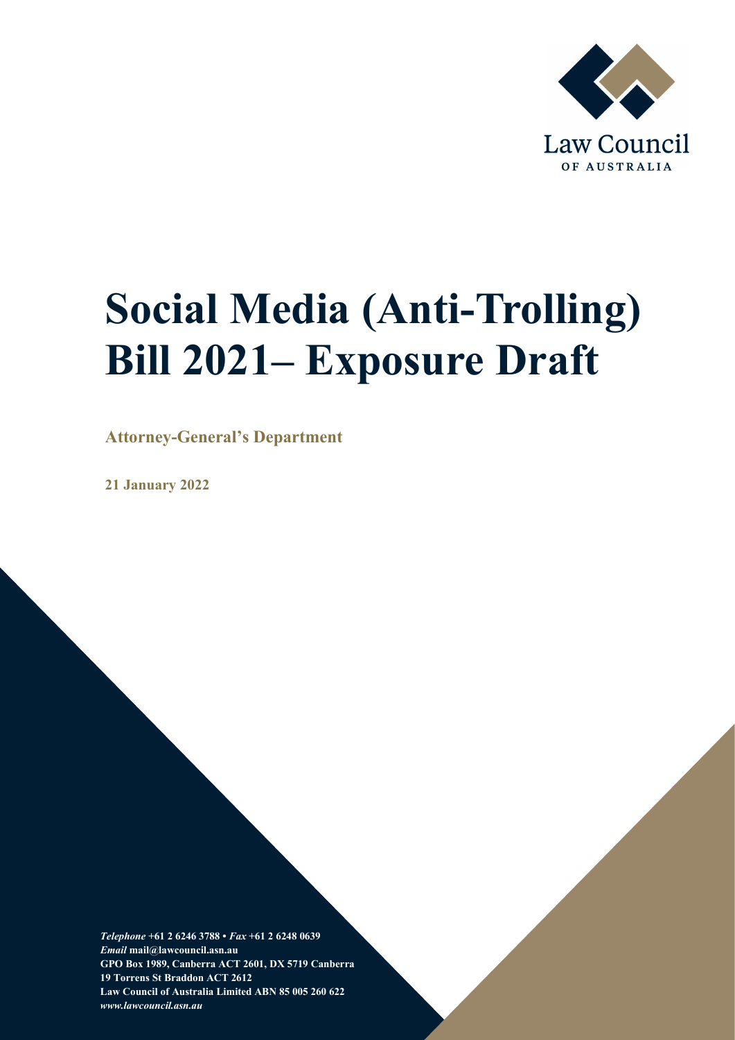

# **Social Media (Anti-Trolling) Bill 2021– Exposure Draft**

**Attorney-General's Department**

**21 January 2022**

*Telephone* **+61 2 6246 3788 •** *Fax* **+61 2 6248 0639** *Email* **mail@lawcouncil.asn.au GPO Box 1989, Canberra ACT 2601, DX 5719 Canberra 19 Torrens St Braddon ACT 2612 Law Council of Australia Limited ABN 85 005 260 622** *www.lawcouncil.asn.au*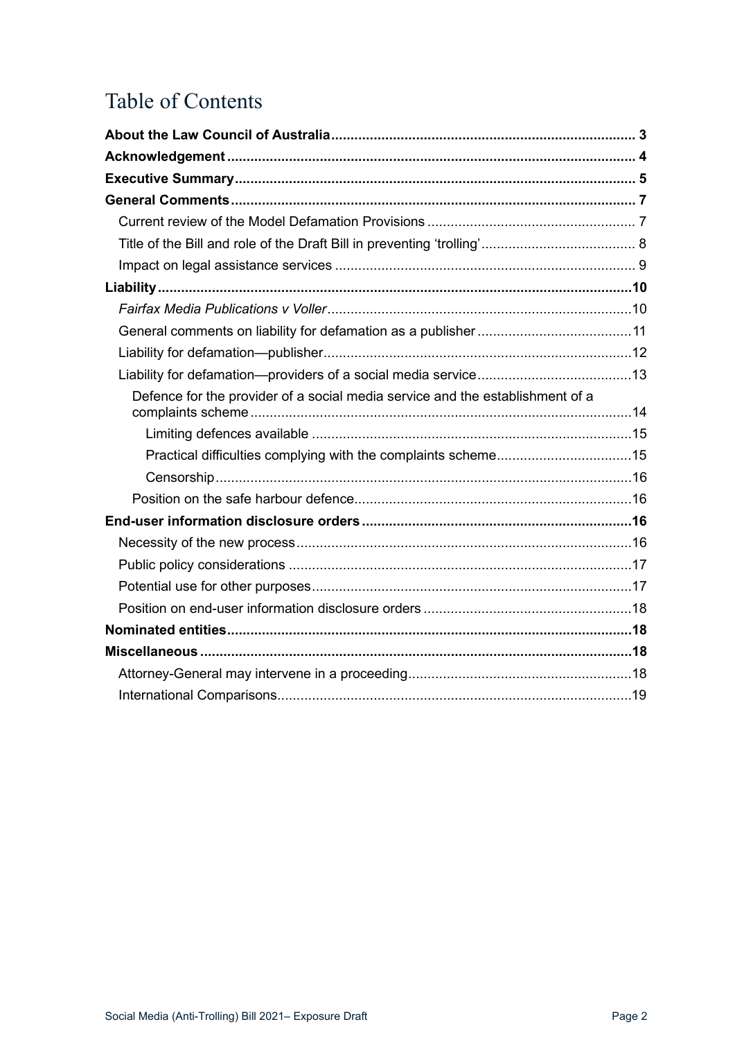# Table of Contents

| Defence for the provider of a social media service and the establishment of a |  |
|-------------------------------------------------------------------------------|--|
|                                                                               |  |
|                                                                               |  |
|                                                                               |  |
|                                                                               |  |
|                                                                               |  |
|                                                                               |  |
|                                                                               |  |
|                                                                               |  |
|                                                                               |  |
|                                                                               |  |
|                                                                               |  |
|                                                                               |  |
|                                                                               |  |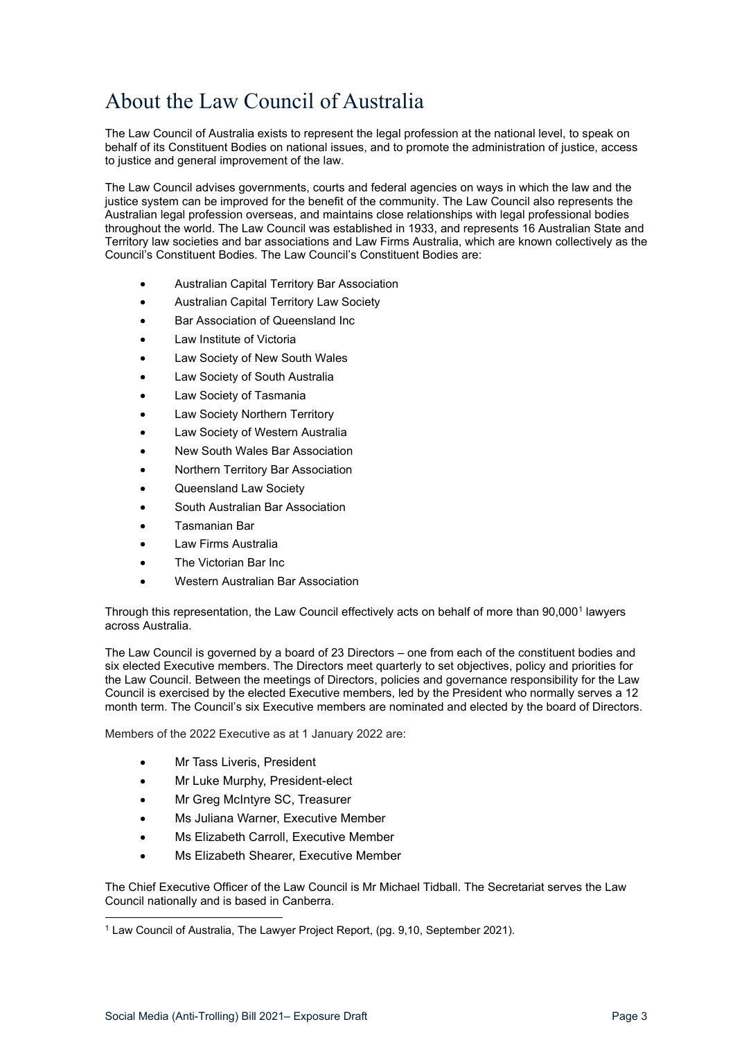# <span id="page-2-0"></span>About the Law Council of Australia

The Law Council of Australia exists to represent the legal profession at the national level, to speak on behalf of its Constituent Bodies on national issues, and to promote the administration of justice, access to justice and general improvement of the law.

The Law Council advises governments, courts and federal agencies on ways in which the law and the justice system can be improved for the benefit of the community. The Law Council also represents the Australian legal profession overseas, and maintains close relationships with legal professional bodies throughout the world. The Law Council was established in 1933, and represents 16 Australian State and Territory law societies and bar associations and Law Firms Australia, which are known collectively as the Council's Constituent Bodies. The Law Council's Constituent Bodies are:

- Australian Capital Territory Bar Association
- Australian Capital Territory Law Society
- Bar Association of Queensland Inc
- Law Institute of Victoria
- Law Society of New South Wales
- Law Society of South Australia
- Law Society of Tasmania
- Law Society Northern Territory
- Law Society of Western Australia
- New South Wales Bar Association
- Northern Territory Bar Association
- Queensland Law Society
- South Australian Bar Association
- Tasmanian Bar
- Law Firms Australia
- The Victorian Bar Inc.
- Western Australian Bar Association

Through this representation, the Law Council effectively acts on behalf of more than 90,000<sup>[1](#page-2-1)</sup> lawyers across Australia.

The Law Council is governed by a board of 23 Directors – one from each of the constituent bodies and six elected Executive members. The Directors meet quarterly to set objectives, policy and priorities for the Law Council. Between the meetings of Directors, policies and governance responsibility for the Law Council is exercised by the elected Executive members, led by the President who normally serves a 12 month term. The Council's six Executive members are nominated and elected by the board of Directors.

Members of the 2022 Executive as at 1 January 2022 are:

- Mr Tass Liveris, President
- Mr Luke Murphy, President-elect
- Mr Greg McIntyre SC, Treasurer
- Ms Juliana Warner, Executive Member
- Ms Elizabeth Carroll, Executive Member
- Ms Elizabeth Shearer, Executive Member

The Chief Executive Officer of the Law Council is Mr Michael Tidball. The Secretariat serves the Law Council nationally and is based in Canberra.

<span id="page-2-1"></span><sup>1</sup> Law Council of Australia, The Lawyer Project Report, (pg. 9,10, September 2021).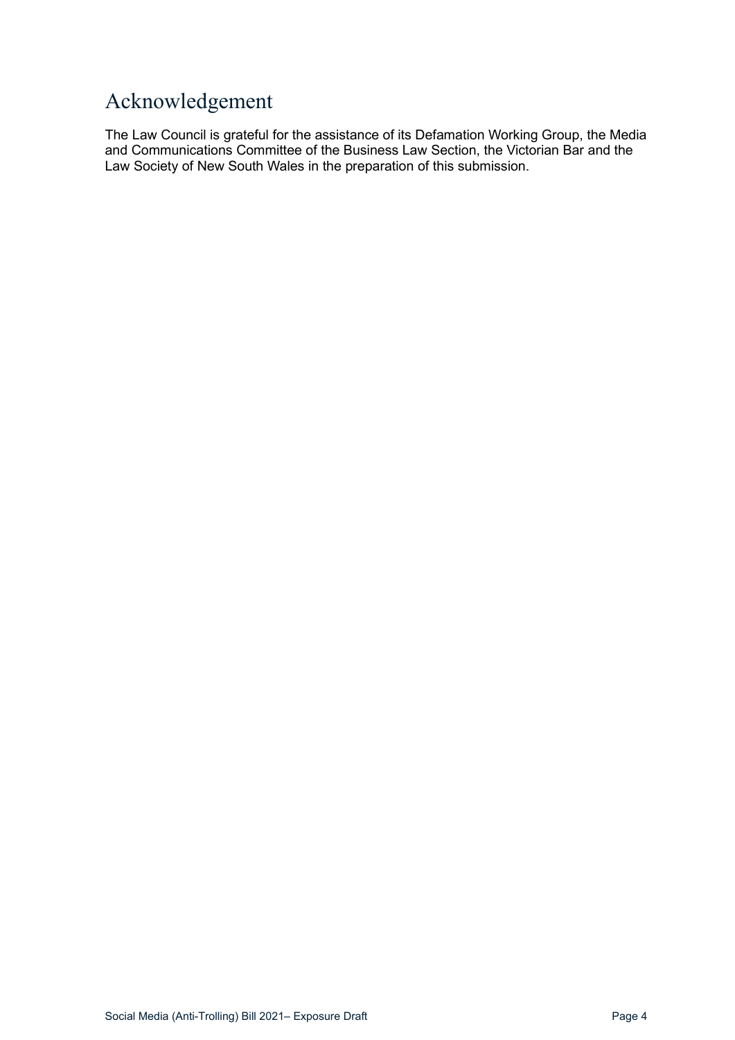# <span id="page-3-0"></span>Acknowledgement

The Law Council is grateful for the assistance of its Defamation Working Group, the Media and Communications Committee of the Business Law Section, the Victorian Bar and the Law Society of New South Wales in the preparation of this submission.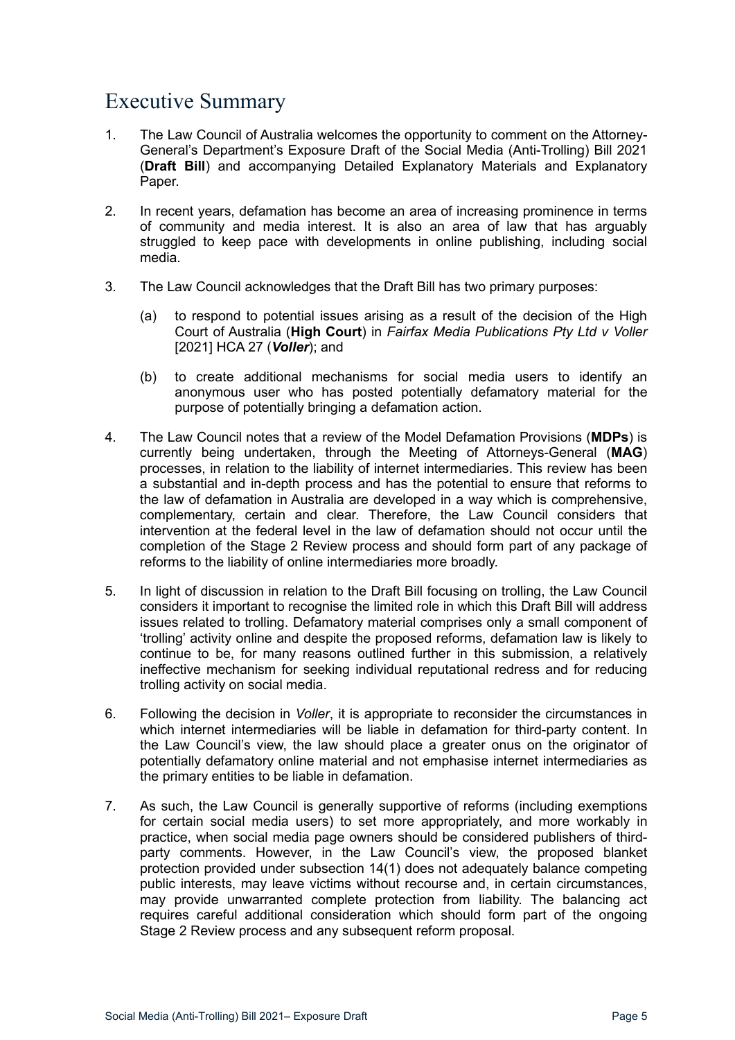# <span id="page-4-0"></span>Executive Summary

- 1. The Law Council of Australia welcomes the opportunity to comment on the Attorney-General's Department's Exposure Draft of the Social Media (Anti-Trolling) Bill 2021 (**Draft Bill**) and accompanying Detailed Explanatory Materials and Explanatory Paper.
- 2. In recent years, defamation has become an area of increasing prominence in terms of community and media interest. It is also an area of law that has arguably struggled to keep pace with developments in online publishing, including social media.
- 3. The Law Council acknowledges that the Draft Bill has two primary purposes:
	- (a) to respond to potential issues arising as a result of the decision of the High Court of Australia (**High Court**) in *Fairfax Media Publications Pty Ltd v Voller* [2021] HCA 27 (*Voller*); and
	- (b) to create additional mechanisms for social media users to identify an anonymous user who has posted potentially defamatory material for the purpose of potentially bringing a defamation action.
- 4. The Law Council notes that a review of the Model Defamation Provisions (**MDPs**) is currently being undertaken, through the Meeting of Attorneys-General (**MAG**) processes, in relation to the liability of internet intermediaries. This review has been a substantial and in-depth process and has the potential to ensure that reforms to the law of defamation in Australia are developed in a way which is comprehensive, complementary, certain and clear. Therefore, the Law Council considers that intervention at the federal level in the law of defamation should not occur until the completion of the Stage 2 Review process and should form part of any package of reforms to the liability of online intermediaries more broadly.
- 5. In light of discussion in relation to the Draft Bill focusing on trolling, the Law Council considers it important to recognise the limited role in which this Draft Bill will address issues related to trolling. Defamatory material comprises only a small component of 'trolling' activity online and despite the proposed reforms, defamation law is likely to continue to be, for many reasons outlined further in this submission, a relatively ineffective mechanism for seeking individual reputational redress and for reducing trolling activity on social media.
- 6. Following the decision in *Voller*, it is appropriate to reconsider the circumstances in which internet intermediaries will be liable in defamation for third-party content. In the Law Council's view, the law should place a greater onus on the originator of potentially defamatory online material and not emphasise internet intermediaries as the primary entities to be liable in defamation.
- 7. As such, the Law Council is generally supportive of reforms (including exemptions for certain social media users) to set more appropriately, and more workably in practice, when social media page owners should be considered publishers of thirdparty comments. However, in the Law Council's view, the proposed blanket protection provided under subsection 14(1) does not adequately balance competing public interests, may leave victims without recourse and, in certain circumstances, may provide unwarranted complete protection from liability. The balancing act requires careful additional consideration which should form part of the ongoing Stage 2 Review process and any subsequent reform proposal.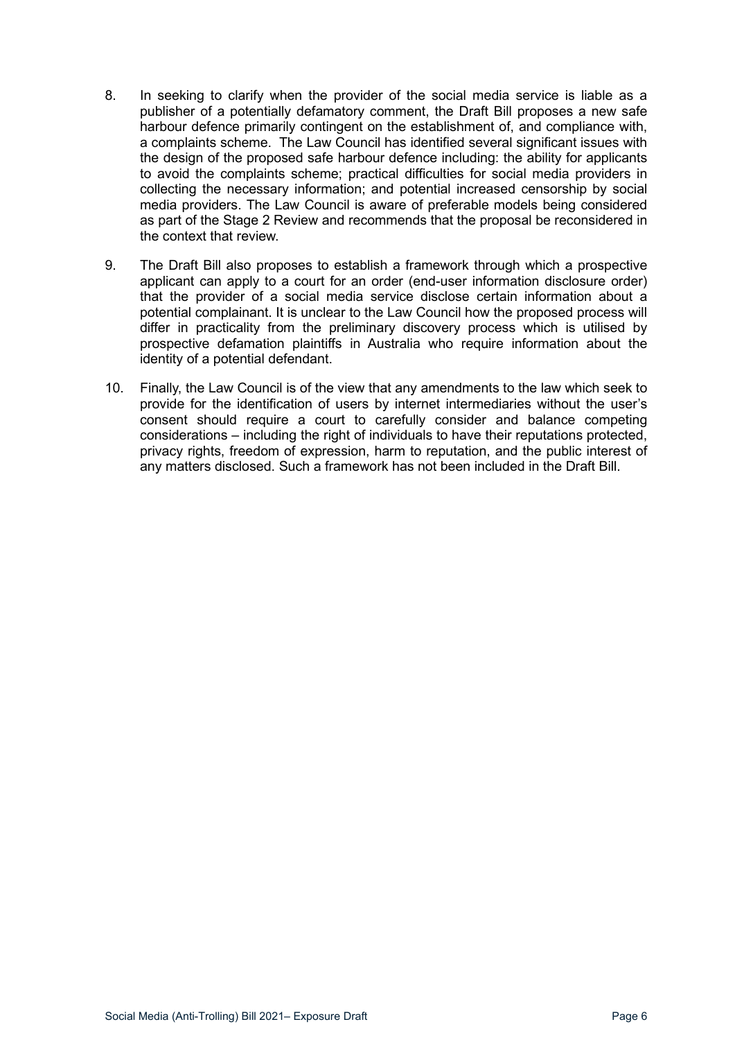- 8. In seeking to clarify when the provider of the social media service is liable as a publisher of a potentially defamatory comment, the Draft Bill proposes a new safe harbour defence primarily contingent on the establishment of, and compliance with, a complaints scheme. The Law Council has identified several significant issues with the design of the proposed safe harbour defence including: the ability for applicants to avoid the complaints scheme; practical difficulties for social media providers in collecting the necessary information; and potential increased censorship by social media providers. The Law Council is aware of preferable models being considered as part of the Stage 2 Review and recommends that the proposal be reconsidered in the context that review.
- 9. The Draft Bill also proposes to establish a framework through which a prospective applicant can apply to a court for an order (end-user information disclosure order) that the provider of a social media service disclose certain information about a potential complainant. It is unclear to the Law Council how the proposed process will differ in practicality from the preliminary discovery process which is utilised by prospective defamation plaintiffs in Australia who require information about the identity of a potential defendant.
- 10. Finally, the Law Council is of the view that any amendments to the law which seek to provide for the identification of users by internet intermediaries without the user's consent should require a court to carefully consider and balance competing considerations – including the right of individuals to have their reputations protected, privacy rights, freedom of expression, harm to reputation, and the public interest of any matters disclosed. Such a framework has not been included in the Draft Bill.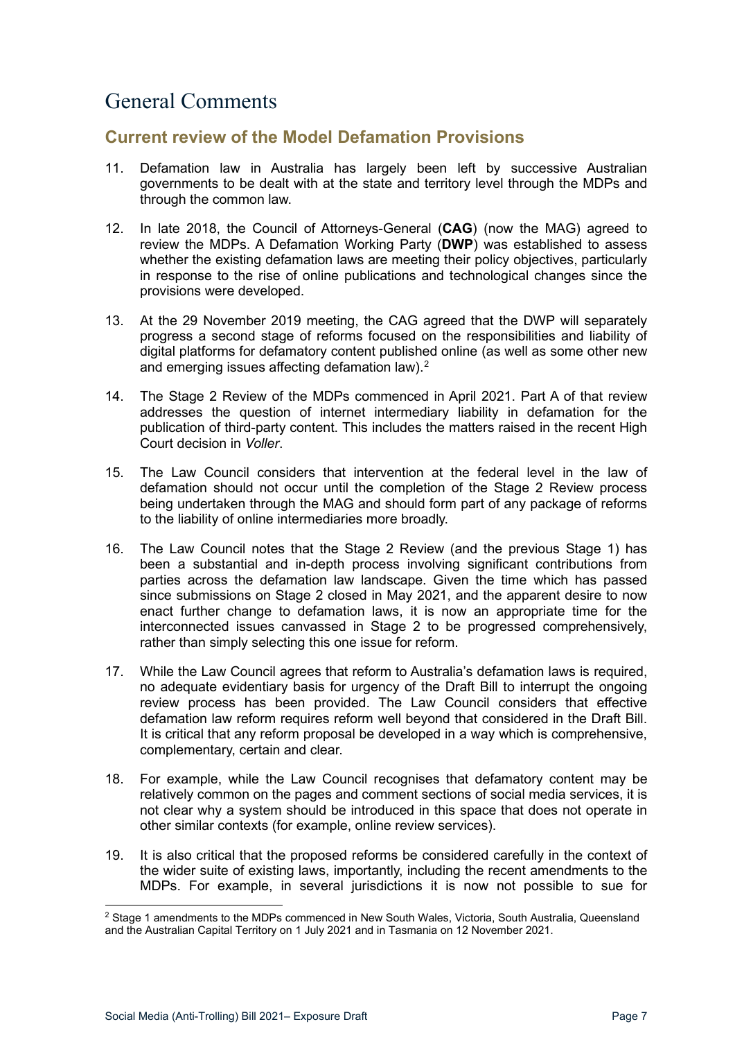# <span id="page-6-0"></span>General Comments

### <span id="page-6-1"></span>**Current review of the Model Defamation Provisions**

- 11. Defamation law in Australia has largely been left by successive Australian governments to be dealt with at the state and territory level through the MDPs and through the common law.
- 12. In late 2018, the Council of Attorneys-General (**CAG**) (now the MAG) agreed to review the MDPs. A Defamation Working Party (**DWP**) was established to assess whether the existing defamation laws are meeting their policy objectives, particularly in response to the rise of online publications and technological changes since the provisions were developed.
- 13. At the 29 November 2019 meeting, the CAG agreed that the DWP will separately progress a second stage of reforms focused on the responsibilities and liability of digital platforms for defamatory content published online (as well as some other new and emerging issues affecting defamation law). $^{\rm 2}$  $^{\rm 2}$  $^{\rm 2}$
- 14. The Stage 2 Review of the MDPs commenced in April 2021. Part A of that review addresses the question of internet intermediary liability in defamation for the publication of third-party content. This includes the matters raised in the recent High Court decision in *Voller*.
- 15. The Law Council considers that intervention at the federal level in the law of defamation should not occur until the completion of the Stage 2 Review process being undertaken through the MAG and should form part of any package of reforms to the liability of online intermediaries more broadly.
- 16. The Law Council notes that the Stage 2 Review (and the previous Stage 1) has been a substantial and in-depth process involving significant contributions from parties across the defamation law landscape. Given the time which has passed since submissions on Stage 2 closed in May 2021, and the apparent desire to now enact further change to defamation laws, it is now an appropriate time for the interconnected issues canvassed in Stage 2 to be progressed comprehensively, rather than simply selecting this one issue for reform.
- 17. While the Law Council agrees that reform to Australia's defamation laws is required, no adequate evidentiary basis for urgency of the Draft Bill to interrupt the ongoing review process has been provided. The Law Council considers that effective defamation law reform requires reform well beyond that considered in the Draft Bill. It is critical that any reform proposal be developed in a way which is comprehensive, complementary, certain and clear.
- 18. For example, while the Law Council recognises that defamatory content may be relatively common on the pages and comment sections of social media services, it is not clear why a system should be introduced in this space that does not operate in other similar contexts (for example, online review services).
- 19. It is also critical that the proposed reforms be considered carefully in the context of the wider suite of existing laws, importantly, including the recent amendments to the MDPs. For example, in several jurisdictions it is now not possible to sue for

<span id="page-6-2"></span><sup>&</sup>lt;sup>2</sup> Stage 1 amendments to the MDPs commenced in New South Wales, Victoria, South Australia, Queensland and the Australian Capital Territory on 1 July 2021 and in Tasmania on 12 November 2021.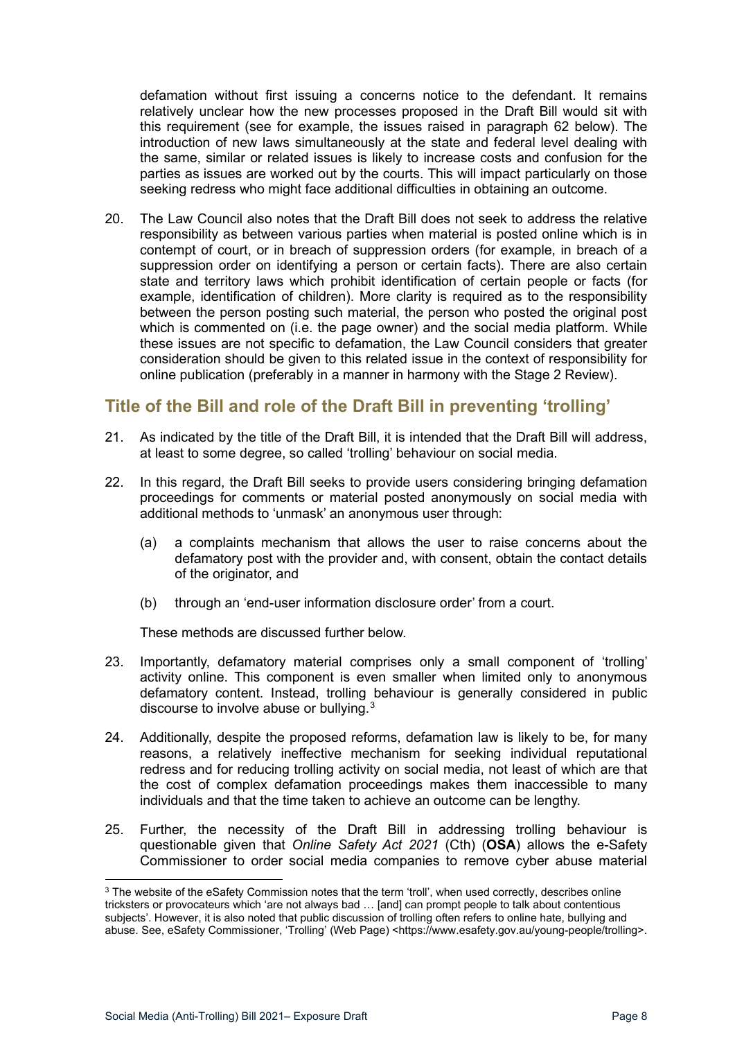defamation without first issuing a concerns notice to the defendant. It remains relatively unclear how the new processes proposed in the Draft Bill would sit with this requirement (see for example, the issues raised in paragraph [62](#page-14-2) below). The introduction of new laws simultaneously at the state and federal level dealing with the same, similar or related issues is likely to increase costs and confusion for the parties as issues are worked out by the courts. This will impact particularly on those seeking redress who might face additional difficulties in obtaining an outcome.

20. The Law Council also notes that the Draft Bill does not seek to address the relative responsibility as between various parties when material is posted online which is in contempt of court, or in breach of suppression orders (for example, in breach of a suppression order on identifying a person or certain facts). There are also certain state and territory laws which prohibit identification of certain people or facts (for example, identification of children). More clarity is required as to the responsibility between the person posting such material, the person who posted the original post which is commented on (i.e. the page owner) and the social media platform. While these issues are not specific to defamation, the Law Council considers that greater consideration should be given to this related issue in the context of responsibility for online publication (preferably in a manner in harmony with the Stage 2 Review).

## <span id="page-7-0"></span>**Title of the Bill and role of the Draft Bill in preventing 'trolling'**

- 21. As indicated by the title of the Draft Bill, it is intended that the Draft Bill will address, at least to some degree, so called 'trolling' behaviour on social media.
- 22. In this regard, the Draft Bill seeks to provide users considering bringing defamation proceedings for comments or material posted anonymously on social media with additional methods to 'unmask' an anonymous user through:
	- (a) a complaints mechanism that allows the user to raise concerns about the defamatory post with the provider and, with consent, obtain the contact details of the originator, and
	- (b) through an 'end-user information disclosure order' from a court.

These methods are discussed further below.

- 23. Importantly, defamatory material comprises only a small component of 'trolling' activity online. This component is even smaller when limited only to anonymous defamatory content. Instead, trolling behaviour is generally considered in public discourse to involve abuse or bullying.[3](#page-7-1)
- 24. Additionally, despite the proposed reforms, defamation law is likely to be, for many reasons, a relatively ineffective mechanism for seeking individual reputational redress and for reducing trolling activity on social media, not least of which are that the cost of complex defamation proceedings makes them inaccessible to many individuals and that the time taken to achieve an outcome can be lengthy.
- 25. Further, the necessity of the Draft Bill in addressing trolling behaviour is questionable given that *Online Safety Act 2021* (Cth) (**OSA**) allows the e-Safety Commissioner to order social media companies to remove cyber abuse material

<span id="page-7-1"></span><sup>&</sup>lt;sup>3</sup> The website of the eSafety Commission notes that the term 'troll', when used correctly, describes online tricksters or provocateurs which 'are not always bad … [and] can prompt people to talk about contentious subjects'. However, it is also noted that public discussion of trolling often refers to online hate, bullying and abuse. See, eSafety Commissioner, 'Trolling' (Web Page) <https://www.esafety.gov.au/young-people/trolling>.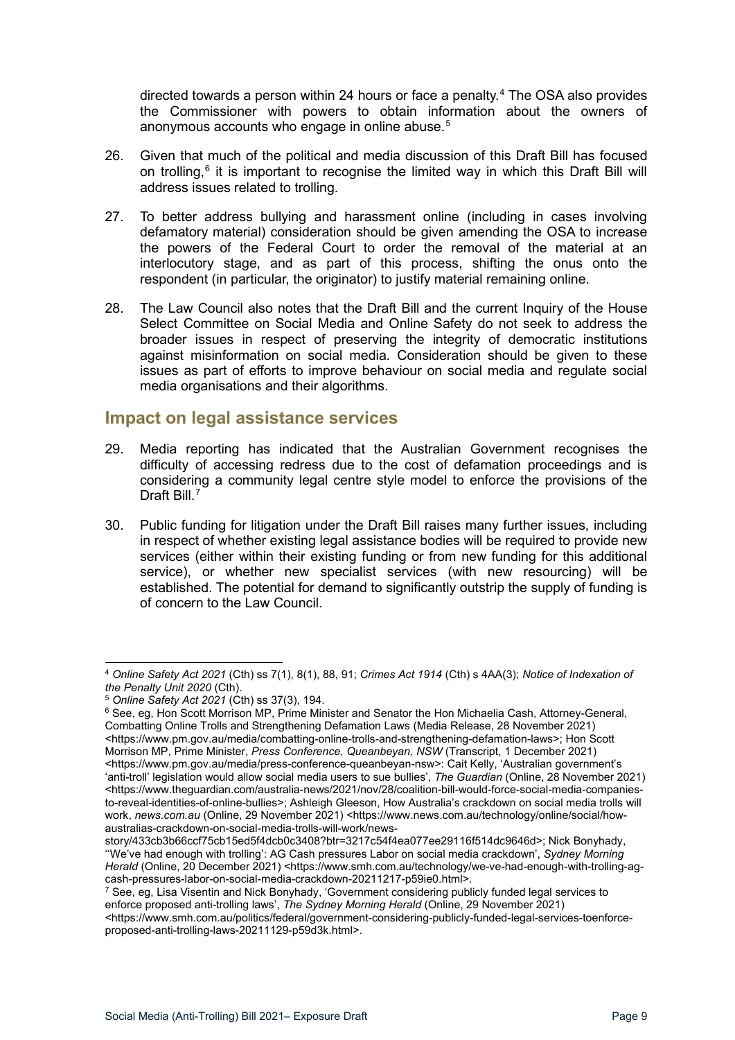directed towards a person within 24 hours or face a penalty. [4](#page-8-1) The OSA also provides the Commissioner with powers to obtain information about the owners of anonymous accounts who engage in online abuse.<sup>[5](#page-8-2)</sup>

- 26. Given that much of the political and media discussion of this Draft Bill has focused on trolling,<sup>[6](#page-8-3)</sup> it is important to recognise the limited way in which this Draft Bill will address issues related to trolling.
- 27. To better address bullying and harassment online (including in cases involving defamatory material) consideration should be given amending the OSA to increase the powers of the Federal Court to order the removal of the material at an interlocutory stage, and as part of this process, shifting the onus onto the respondent (in particular, the originator) to justify material remaining online.
- 28. The Law Council also notes that the Draft Bill and the current Inquiry of the House Select Committee on Social Media and Online Safety do not seek to address the broader issues in respect of preserving the integrity of democratic institutions against misinformation on social media. Consideration should be given to these issues as part of efforts to improve behaviour on social media and regulate social media organisations and their algorithms.

### <span id="page-8-0"></span>**Impact on legal assistance services**

- 29. Media reporting has indicated that the Australian Government recognises the difficulty of accessing redress due to the cost of defamation proceedings and is considering a community legal centre style model to enforce the provisions of the Draft Bill.<sup>[7](#page-8-4)</sup>
- 30. Public funding for litigation under the Draft Bill raises many further issues, including in respect of whether existing legal assistance bodies will be required to provide new services (either within their existing funding or from new funding for this additional service), or whether new specialist services (with new resourcing) will be established. The potential for demand to significantly outstrip the supply of funding is of concern to the Law Council.

<span id="page-8-1"></span><sup>4</sup> *Online Safety Act 2021* (Cth) ss 7(1), 8(1), 88, 91; *Crimes Act 1914* (Cth) s 4AA(3); *Notice of Indexation of* 

*the Penalty Unit 2020* (Cth). 5 *Online Safety Act 2021* (Cth) ss 37(3), 194.

<span id="page-8-3"></span><span id="page-8-2"></span><sup>&</sup>lt;sup>6</sup> See, eg, Hon Scott Morrison MP, Prime Minister and Senator the Hon Michaelia Cash, Attorney-General, Combatting Online Trolls and Strengthening Defamation Laws (Media Release, 28 November 2021) <https://www.pm.gov.au/media/combatting-online-trolls-and-strengthening-defamation-laws>; Hon Scott Morrison MP, Prime Minister, *Press Conference, Queanbeyan, NSW* (Transcript, 1 December 2021) <https://www.pm.gov.au/media/press-conference-queanbeyan-nsw>: Cait Kelly, 'Australian government's 'anti-troll' legislation would allow social media users to sue bullies', *The Guardian* (Online, 28 November 2021) <https://www.theguardian.com/australia-news/2021/nov/28/coalition-bill-would-force-social-media-companiesto-reveal-identities-of-online-bullies>; Ashleigh Gleeson, How Australia's crackdown on social media trolls will work, news.com.au (Online, 29 November 2021) <https://www.news.com.au/technology/online/social/howaustralias-crackdown-on-social-media-trolls-will-work/news-

story/433cb3b66ccf75cb15ed5f4dcb0c3408?btr=3217c54f4ea077ee29116f514dc9646d>; Nick Bonyhady, ''We've had enough with trolling': AG Cash pressures Labor on social media crackdown', *Sydney Morning*  Herald (Online, 20 December 2021) <https://www.smh.com.au/technology/we-ve-had-enough-with-trolling-agcash-pressures-labor-on-social-media-crackdown-20211217-p59ie0.html>.

<span id="page-8-4"></span> $7$  See, eg, Lisa Visentin and Nick Bonyhady, 'Government considering publicly funded legal services to enforce proposed anti-trolling laws', *The Sydney Morning Herald* (Online, 29 November 2021)

<sup>&</sup>lt;https://www.smh.com.au/politics/federal/government-considering-publicly-funded-legal-services-toenforceproposed-anti-trolling-laws-20211129-p59d3k.html>.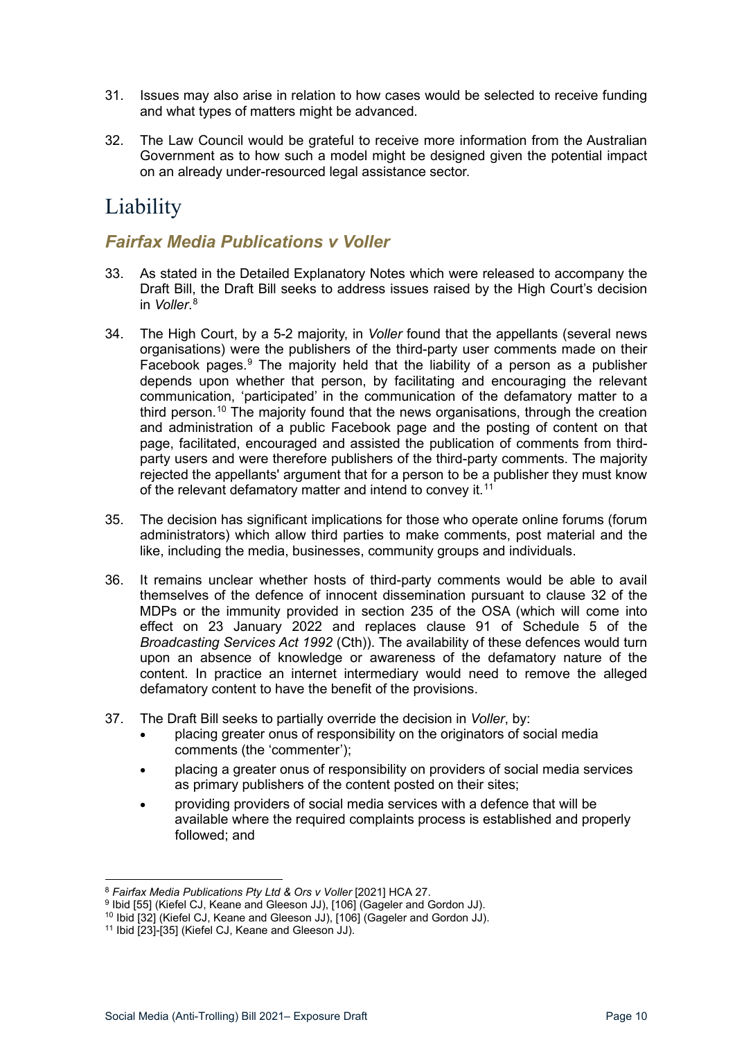- 31. Issues may also arise in relation to how cases would be selected to receive funding and what types of matters might be advanced.
- 32. The Law Council would be grateful to receive more information from the Australian Government as to how such a model might be designed given the potential impact on an already under-resourced legal assistance sector.

# <span id="page-9-0"></span>**Liability**

### <span id="page-9-1"></span>*Fairfax Media Publications v Voller*

- 33. As stated in the Detailed Explanatory Notes which were released to accompany the Draft Bill, the Draft Bill seeks to address issues raised by the High Court's decision in *Voller*. [8](#page-9-2)
- 34. The High Court, by a 5-2 majority, in *Voller* found that the appellants (several news organisations) were the publishers of the third-party user comments made on their Facebook pages. $9$  The majority held that the liability of a person as a publisher depends upon whether that person, by facilitating and encouraging the relevant communication, 'participated' in the communication of the defamatory matter to a third person.<sup>[10](#page-9-4)</sup> The majority found that the news organisations, through the creation and administration of a public Facebook page and the posting of content on that page, facilitated, encouraged and assisted the publication of comments from thirdparty users and were therefore publishers of the third-party comments. The majority rejected the appellants' argument that for a person to be a publisher they must know of the relevant defamatory matter and intend to convey it.<sup>[11](#page-9-5)</sup>
- 35. The decision has significant implications for those who operate online forums (forum administrators) which allow third parties to make comments, post material and the like, including the media, businesses, community groups and individuals.
- 36. It remains unclear whether hosts of third-party comments would be able to avail themselves of the defence of innocent dissemination pursuant to clause 32 of the MDPs or the immunity provided in section 235 of the OSA (which will come into effect on 23 January 2022 and replaces clause 91 of Schedule 5 of the *Broadcasting Services Act 1992* (Cth)). The availability of these defences would turn upon an absence of knowledge or awareness of the defamatory nature of the content. In practice an internet intermediary would need to remove the alleged defamatory content to have the benefit of the provisions.
- 37. The Draft Bill seeks to partially override the decision in *Voller*, by:
	- placing greater onus of responsibility on the originators of social media comments (the 'commenter');
	- placing a greater onus of responsibility on providers of social media services as primary publishers of the content posted on their sites;
	- providing providers of social media services with a defence that will be available where the required complaints process is established and properly followed; and

<span id="page-9-2"></span><sup>8</sup> *Fairfax Media Publications Pty Ltd & Ors v Voller* [2021] HCA 27.

<span id="page-9-3"></span><sup>9</sup> Ibid [55] (Kiefel CJ, Keane and Gleeson JJ), [106] (Gageler and Gordon JJ).

<span id="page-9-4"></span><sup>&</sup>lt;sup>10</sup> Ibid [32] (Kiefel CJ, Keane and Gleeson JJ), [106] (Gageler and Gordon JJ).

<span id="page-9-5"></span><sup>11</sup> Ibid [23]-[35] (Kiefel CJ, Keane and Gleeson JJ).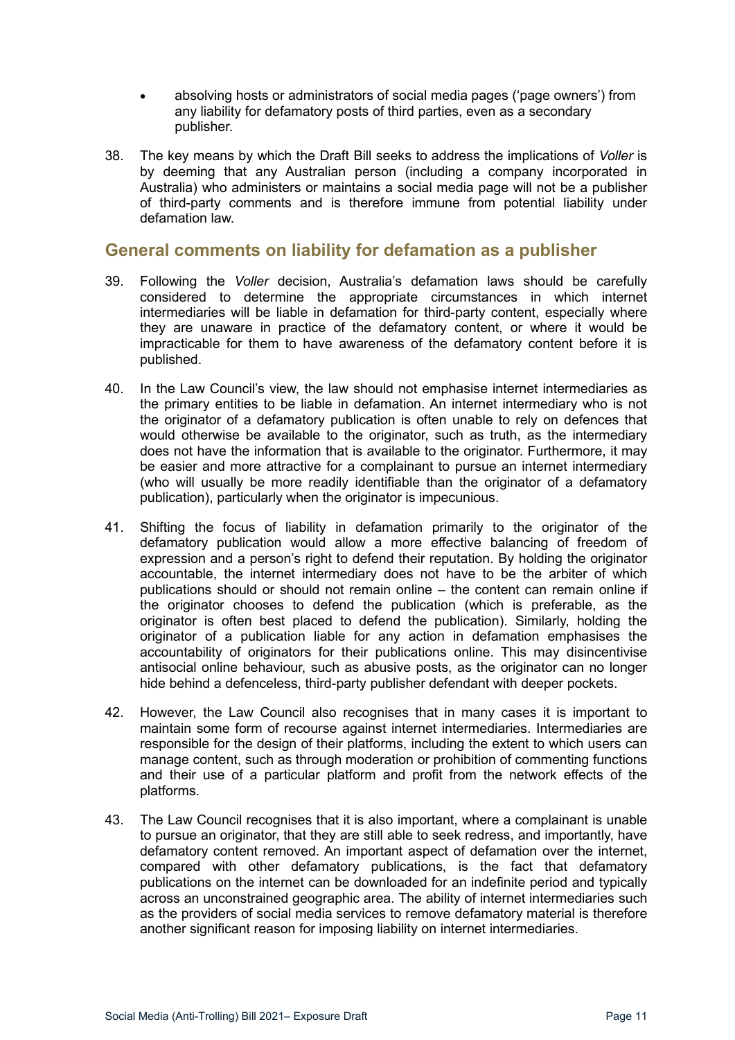- absolving hosts or administrators of social media pages ('page owners') from any liability for defamatory posts of third parties, even as a secondary publisher.
- 38. The key means by which the Draft Bill seeks to address the implications of *Voller* is by deeming that any Australian person (including a company incorporated in Australia) who administers or maintains a social media page will not be a publisher of third-party comments and is therefore immune from potential liability under defamation law.

### <span id="page-10-0"></span>**General comments on liability for defamation as a publisher**

- 39. Following the *Voller* decision, Australia's defamation laws should be carefully considered to determine the appropriate circumstances in which internet intermediaries will be liable in defamation for third-party content, especially where they are unaware in practice of the defamatory content, or where it would be impracticable for them to have awareness of the defamatory content before it is published.
- 40. In the Law Council's view, the law should not emphasise internet intermediaries as the primary entities to be liable in defamation. An internet intermediary who is not the originator of a defamatory publication is often unable to rely on defences that would otherwise be available to the originator, such as truth, as the intermediary does not have the information that is available to the originator. Furthermore, it may be easier and more attractive for a complainant to pursue an internet intermediary (who will usually be more readily identifiable than the originator of a defamatory publication), particularly when the originator is impecunious.
- 41. Shifting the focus of liability in defamation primarily to the originator of the defamatory publication would allow a more effective balancing of freedom of expression and a person's right to defend their reputation. By holding the originator accountable, the internet intermediary does not have to be the arbiter of which publications should or should not remain online – the content can remain online if the originator chooses to defend the publication (which is preferable, as the originator is often best placed to defend the publication). Similarly, holding the originator of a publication liable for any action in defamation emphasises the accountability of originators for their publications online. This may disincentivise antisocial online behaviour, such as abusive posts, as the originator can no longer hide behind a defenceless, third-party publisher defendant with deeper pockets.
- 42. However, the Law Council also recognises that in many cases it is important to maintain some form of recourse against internet intermediaries. Intermediaries are responsible for the design of their platforms, including the extent to which users can manage content, such as through moderation or prohibition of commenting functions and their use of a particular platform and profit from the network effects of the platforms.
- 43. The Law Council recognises that it is also important, where a complainant is unable to pursue an originator, that they are still able to seek redress, and importantly, have defamatory content removed. An important aspect of defamation over the internet, compared with other defamatory publications, is the fact that defamatory publications on the internet can be downloaded for an indefinite period and typically across an unconstrained geographic area. The ability of internet intermediaries such as the providers of social media services to remove defamatory material is therefore another significant reason for imposing liability on internet intermediaries.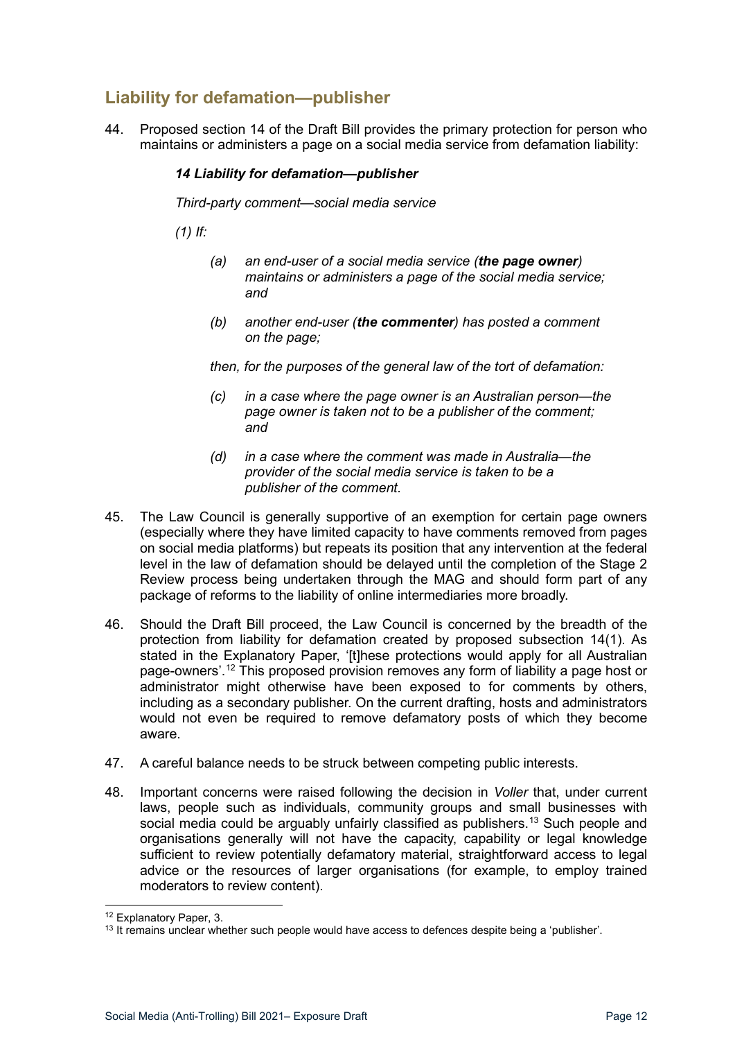# <span id="page-11-0"></span>**Liability for defamation—publisher**

44. Proposed section 14 of the Draft Bill provides the primary protection for person who maintains or administers a page on a social media service from defamation liability:

#### *14 Liability for defamation—publisher*

*Third-party comment—social media service* 

*(1) If:* 

- *(a) an end-user of a social media service (the page owner) maintains or administers a page of the social media service; and*
- *(b) another end-user (the commenter) has posted a comment on the page;*

*then, for the purposes of the general law of the tort of defamation:*

- *(c) in a case where the page owner is an Australian person—the page owner is taken not to be a publisher of the comment; and*
- *(d) in a case where the comment was made in Australia—the provider of the social media service is taken to be a publisher of the comment.*
- 45. The Law Council is generally supportive of an exemption for certain page owners (especially where they have limited capacity to have comments removed from pages on social media platforms) but repeats its position that any intervention at the federal level in the law of defamation should be delayed until the completion of the Stage 2 Review process being undertaken through the MAG and should form part of any package of reforms to the liability of online intermediaries more broadly.
- 46. Should the Draft Bill proceed, the Law Council is concerned by the breadth of the protection from liability for defamation created by proposed subsection 14(1). As stated in the Explanatory Paper, '[t]hese protections would apply for all Australian page-owners'.[12](#page-11-1) This proposed provision removes any form of liability a page host or administrator might otherwise have been exposed to for comments by others, including as a secondary publisher. On the current drafting, hosts and administrators would not even be required to remove defamatory posts of which they become aware.
- 47. A careful balance needs to be struck between competing public interests.
- 48. Important concerns were raised following the decision in *Voller* that, under current laws, people such as individuals, community groups and small businesses with social media could be arguably unfairly classified as publishers. [13](#page-11-2) Such people and organisations generally will not have the capacity, capability or legal knowledge sufficient to review potentially defamatory material, straightforward access to legal advice or the resources of larger organisations (for example, to employ trained moderators to review content).

<span id="page-11-1"></span><sup>12</sup> Explanatory Paper, 3.

<span id="page-11-2"></span> $13$  It remains unclear whether such people would have access to defences despite being a 'publisher'.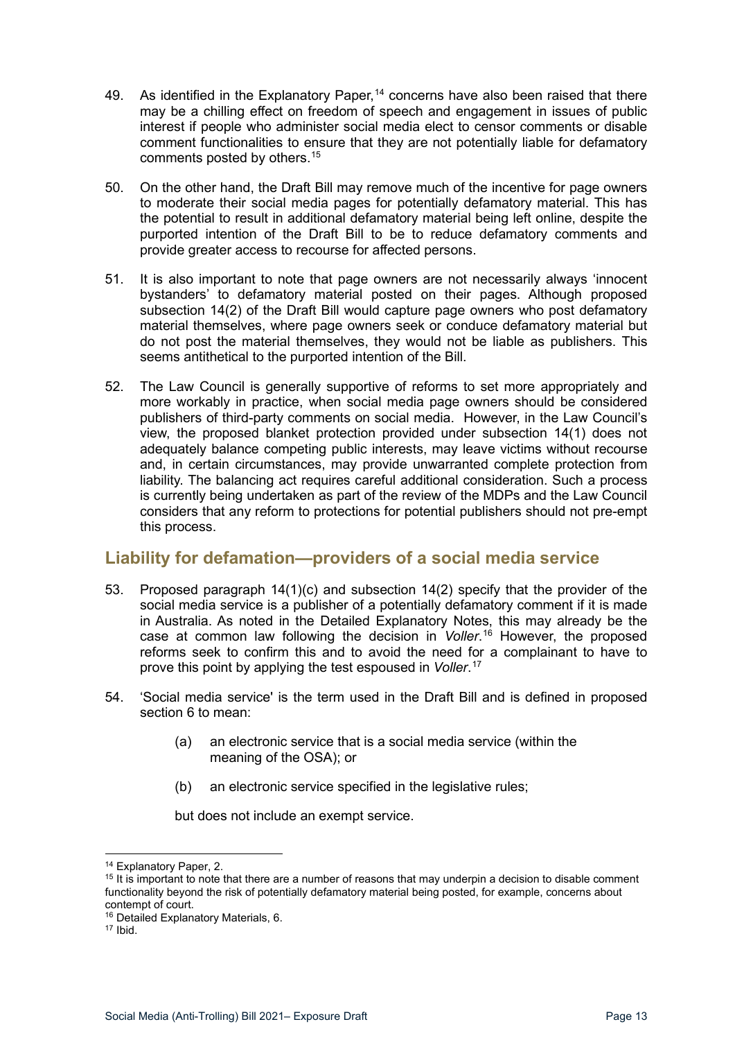- 49. As identified in the Explanatory Paper,  $14$  concerns have also been raised that there may be a chilling effect on freedom of speech and engagement in issues of public interest if people who administer social media elect to censor comments or disable comment functionalities to ensure that they are not potentially liable for defamatory comments posted by others. [15](#page-12-2)
- 50. On the other hand, the Draft Bill may remove much of the incentive for page owners to moderate their social media pages for potentially defamatory material. This has the potential to result in additional defamatory material being left online, despite the purported intention of the Draft Bill to be to reduce defamatory comments and provide greater access to recourse for affected persons.
- 51. It is also important to note that page owners are not necessarily always 'innocent bystanders' to defamatory material posted on their pages. Although proposed subsection 14(2) of the Draft Bill would capture page owners who post defamatory material themselves, where page owners seek or conduce defamatory material but do not post the material themselves, they would not be liable as publishers. This seems antithetical to the purported intention of the Bill.
- 52. The Law Council is generally supportive of reforms to set more appropriately and more workably in practice, when social media page owners should be considered publishers of third-party comments on social media. However, in the Law Council's view, the proposed blanket protection provided under subsection 14(1) does not adequately balance competing public interests, may leave victims without recourse and, in certain circumstances, may provide unwarranted complete protection from liability. The balancing act requires careful additional consideration. Such a process is currently being undertaken as part of the review of the MDPs and the Law Council considers that any reform to protections for potential publishers should not pre-empt this process.

### <span id="page-12-0"></span>**Liability for defamation—providers of a social media service**

- 53. Proposed paragraph 14(1)(c) and subsection 14(2) specify that the provider of the social media service is a publisher of a potentially defamatory comment if it is made in Australia. As noted in the Detailed Explanatory Notes, this may already be the case at common law following the decision in *Voller*. [16](#page-12-3) However, the proposed reforms seek to confirm this and to avoid the need for a complainant to have to prove this point by applying the test espoused in *Voller*. [17](#page-12-4)
- 54. 'Social media service' is the term used in the Draft Bill and is defined in proposed section 6 to mean:
	- (a) an electronic service that is a social media service (within the meaning of the OSA); or
	- (b) an electronic service specified in the legislative rules;

but does not include an exempt service.

<span id="page-12-2"></span><span id="page-12-1"></span> $14$  Explanatory Paper, 2.<br> $15$  It is important to note that there are a number of reasons that may underpin a decision to disable comment functionality beyond the risk of potentially defamatory material being posted, for example, concerns about contempt of court.

<sup>16</sup> Detailed Explanatory Materials, 6.

<span id="page-12-4"></span><span id="page-12-3"></span><sup>17</sup> Ibid.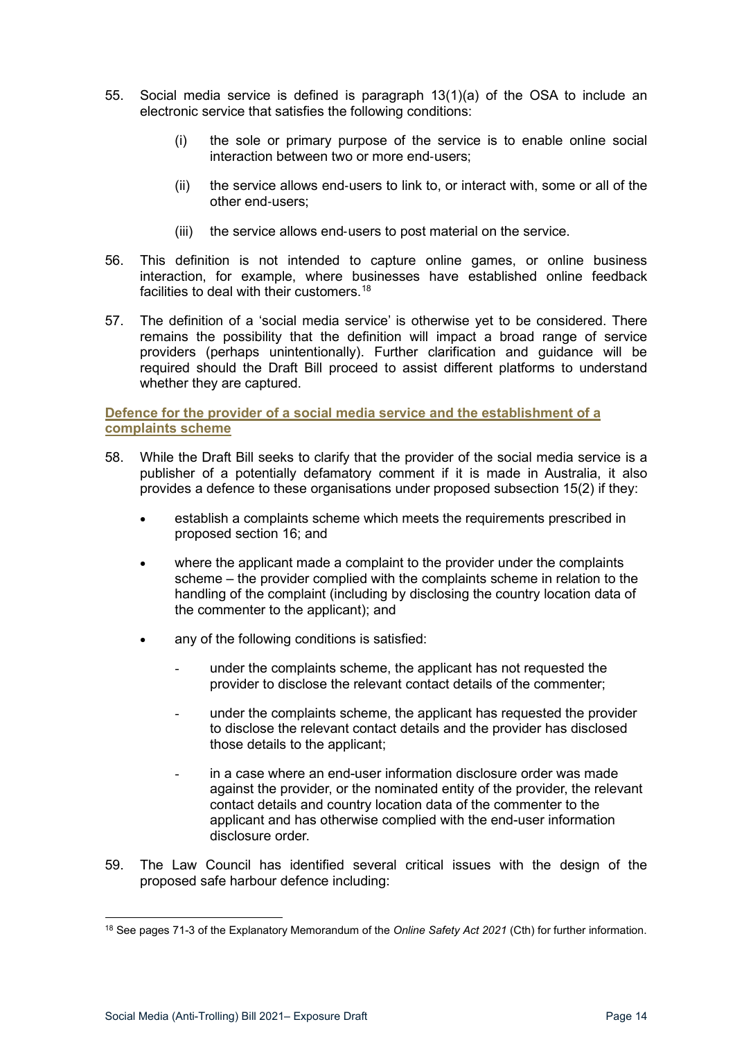- 55. Social media service is defined is paragraph 13(1)(a) of the OSA to include an electronic service that satisfies the following conditions:
	- (i) the sole or primary purpose of the service is to enable online social interaction between two or more end-users;
	- (ii) the service allows end-users to link to, or interact with, some or all of the other end-users;
	- (iii) the service allows end-users to post material on the service.
- 56. This definition is not intended to capture online games, or online business interaction, for example, where businesses have established online feedback facilities to deal with their customers.[18](#page-13-1)
- 57. The definition of a 'social media service' is otherwise yet to be considered. There remains the possibility that the definition will impact a broad range of service providers (perhaps unintentionally). Further clarification and guidance will be required should the Draft Bill proceed to assist different platforms to understand whether they are captured.

<span id="page-13-0"></span>**Defence for the provider of a social media service and the establishment of a complaints scheme**

- 58. While the Draft Bill seeks to clarify that the provider of the social media service is a publisher of a potentially defamatory comment if it is made in Australia, it also provides a defence to these organisations under proposed subsection 15(2) if they:
	- establish a complaints scheme which meets the requirements prescribed in proposed section 16; and
	- where the applicant made a complaint to the provider under the complaints scheme – the provider complied with the complaints scheme in relation to the handling of the complaint (including by disclosing the country location data of the commenter to the applicant); and
	- any of the following conditions is satisfied:
		- under the complaints scheme, the applicant has not requested the provider to disclose the relevant contact details of the commenter;
		- under the complaints scheme, the applicant has requested the provider to disclose the relevant contact details and the provider has disclosed those details to the applicant;
		- in a case where an end-user information disclosure order was made against the provider, or the nominated entity of the provider, the relevant contact details and country location data of the commenter to the applicant and has otherwise complied with the end-user information disclosure order.
- 59. The Law Council has identified several critical issues with the design of the proposed safe harbour defence including:

<span id="page-13-1"></span><sup>18</sup> See pages 71-3 of the Explanatory Memorandum of the *Online Safety Act 2021* (Cth) for further information.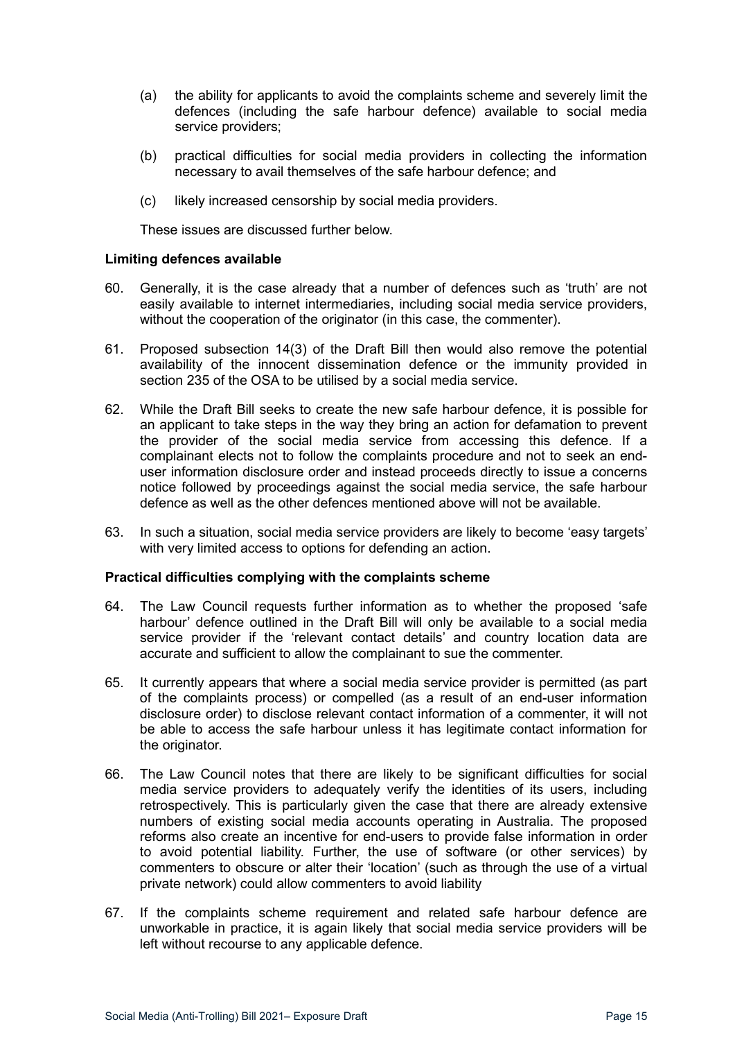- (a) the ability for applicants to avoid the complaints scheme and severely limit the defences (including the safe harbour defence) available to social media service providers;
- (b) practical difficulties for social media providers in collecting the information necessary to avail themselves of the safe harbour defence; and
- (c) likely increased censorship by social media providers.

These issues are discussed further below.

#### <span id="page-14-0"></span>**Limiting defences available**

- 60. Generally, it is the case already that a number of defences such as 'truth' are not easily available to internet intermediaries, including social media service providers, without the cooperation of the originator (in this case, the commenter).
- 61. Proposed subsection 14(3) of the Draft Bill then would also remove the potential availability of the innocent dissemination defence or the immunity provided in section 235 of the OSA to be utilised by a social media service.
- <span id="page-14-2"></span>62. While the Draft Bill seeks to create the new safe harbour defence, it is possible for an applicant to take steps in the way they bring an action for defamation to prevent the provider of the social media service from accessing this defence. If a complainant elects not to follow the complaints procedure and not to seek an enduser information disclosure order and instead proceeds directly to issue a concerns notice followed by proceedings against the social media service, the safe harbour defence as well as the other defences mentioned above will not be available.
- 63. In such a situation, social media service providers are likely to become 'easy targets' with very limited access to options for defending an action.

#### <span id="page-14-1"></span>**Practical difficulties complying with the complaints scheme**

- 64. The Law Council requests further information as to whether the proposed 'safe harbour' defence outlined in the Draft Bill will only be available to a social media service provider if the 'relevant contact details' and country location data are accurate and sufficient to allow the complainant to sue the commenter.
- 65. It currently appears that where a social media service provider is permitted (as part of the complaints process) or compelled (as a result of an end-user information disclosure order) to disclose relevant contact information of a commenter, it will not be able to access the safe harbour unless it has legitimate contact information for the originator.
- 66. The Law Council notes that there are likely to be significant difficulties for social media service providers to adequately verify the identities of its users, including retrospectively. This is particularly given the case that there are already extensive numbers of existing social media accounts operating in Australia. The proposed reforms also create an incentive for end-users to provide false information in order to avoid potential liability. Further, the use of software (or other services) by commenters to obscure or alter their 'location' (such as through the use of a virtual private network) could allow commenters to avoid liability
- 67. If the complaints scheme requirement and related safe harbour defence are unworkable in practice, it is again likely that social media service providers will be left without recourse to any applicable defence.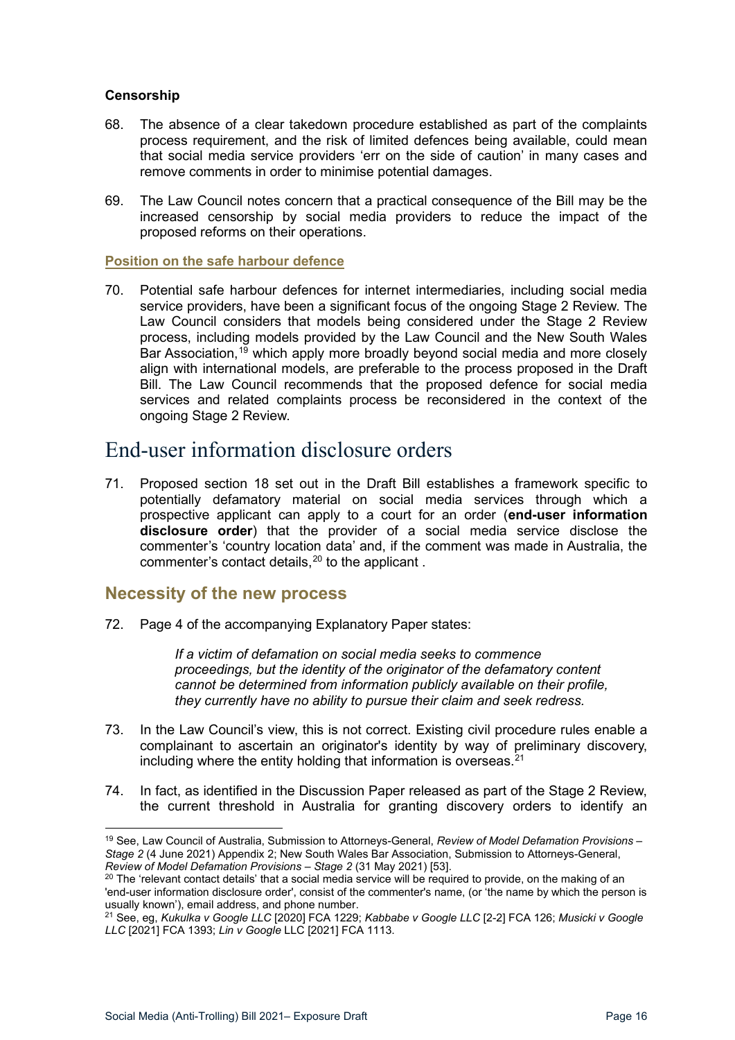#### <span id="page-15-0"></span>**Censorship**

- 68. The absence of a clear takedown procedure established as part of the complaints process requirement, and the risk of limited defences being available, could mean that social media service providers 'err on the side of caution' in many cases and remove comments in order to minimise potential damages.
- 69. The Law Council notes concern that a practical consequence of the Bill may be the increased censorship by social media providers to reduce the impact of the proposed reforms on their operations.

#### <span id="page-15-1"></span>**Position on the safe harbour defence**

70. Potential safe harbour defences for internet intermediaries, including social media service providers, have been a significant focus of the ongoing Stage 2 Review. The Law Council considers that models being considered under the Stage 2 Review process, including models provided by the Law Council and the New South Wales Bar Association.<sup>[19](#page-15-4)</sup> which apply more broadly beyond social media and more closely align with international models, are preferable to the process proposed in the Draft Bill. The Law Council recommends that the proposed defence for social media services and related complaints process be reconsidered in the context of the ongoing Stage 2 Review.

# <span id="page-15-2"></span>End-user information disclosure orders

71. Proposed section 18 set out in the Draft Bill establishes a framework specific to potentially defamatory material on social media services through which a prospective applicant can apply to a court for an order (**end-user information disclosure order**) that the provider of a social media service disclose the commenter's 'country location data' and, if the comment was made in Australia, the commenter's contact details, $20$  to the applicant.

### <span id="page-15-3"></span>**Necessity of the new process**

72. Page 4 of the accompanying Explanatory Paper states:

*If a victim of defamation on social media seeks to commence proceedings, but the identity of the originator of the defamatory content cannot be determined from information publicly available on their profile, they currently have no ability to pursue their claim and seek redress.*

- 73. In the Law Council's view, this is not correct. Existing civil procedure rules enable a complainant to ascertain an originator's identity by way of preliminary discovery, including where the entity holding that information is overseas. $^{\mathrm{21}}$  $^{\mathrm{21}}$  $^{\mathrm{21}}$
- 74. In fact, as identified in the Discussion Paper released as part of the Stage 2 Review, the current threshold in Australia for granting discovery orders to identify an

<span id="page-15-4"></span><sup>19</sup> See, Law Council of Australia, Submission to Attorneys-General, *Review of Model Defamation Provisions – Stage 2* (4 June 2021) Appendix 2; New South Wales Bar Association, Submission to Attorneys-General, *Review of Model Defamation Provisions – Stage 2* (31 May 2021) [53].

<span id="page-15-5"></span><sup>&</sup>lt;sup>20</sup> The 'relevant contact details' that a social media service will be required to provide, on the making of an 'end-user information disclosure order', consist of the commenter's name, (or 'the name by which the person is usually known'), email address, and phone number.

<span id="page-15-6"></span><sup>21</sup> See, eg, *Kukulka v Google LLC* [2020] FCA 1229; *Kabbabe v Google LLC* [2-2] FCA 126; *Musicki v Google LLC* [2021] FCA 1393; *Lin v Google* LLC [2021] FCA 1113.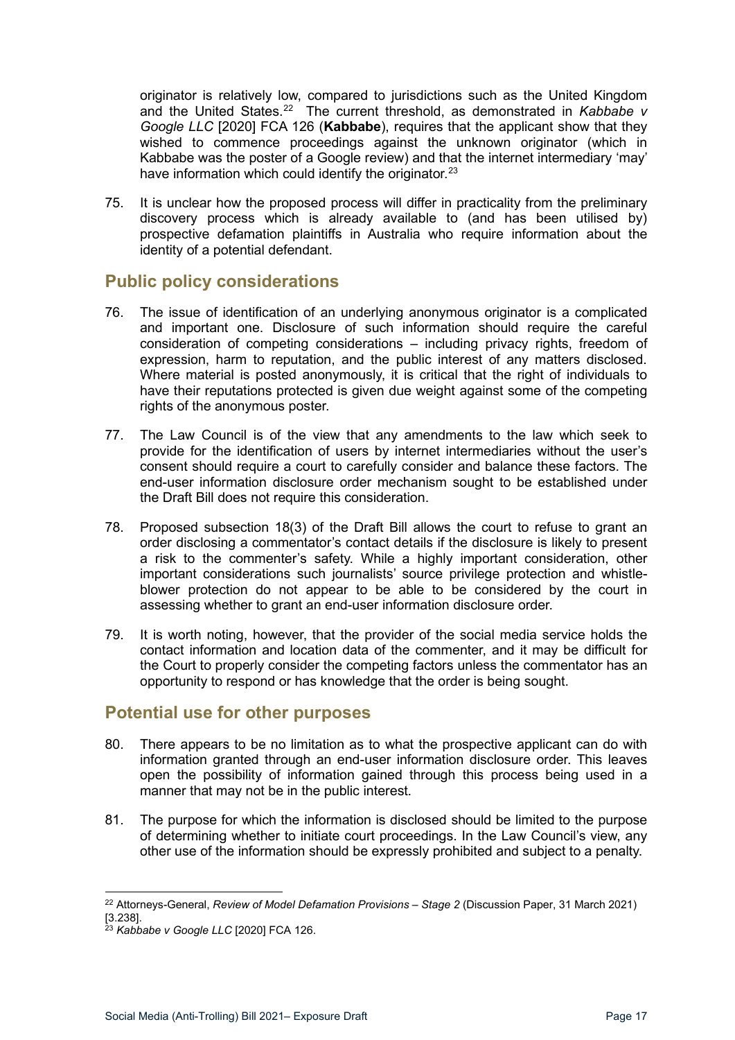originator is relatively low, compared to jurisdictions such as the United Kingdom and the United States.[22](#page-16-2) The current threshold, as demonstrated in *Kabbabe v Google LLC* [2020] FCA 126 (**Kabbabe**), requires that the applicant show that they wished to commence proceedings against the unknown originator (which in Kabbabe was the poster of a Google review) and that the internet intermediary 'may' have information which could identify the originator.<sup>[23](#page-16-3)</sup>

75. It is unclear how the proposed process will differ in practicality from the preliminary discovery process which is already available to (and has been utilised by) prospective defamation plaintiffs in Australia who require information about the identity of a potential defendant.

## <span id="page-16-0"></span>**Public policy considerations**

- 76. The issue of identification of an underlying anonymous originator is a complicated and important one. Disclosure of such information should require the careful consideration of competing considerations – including privacy rights, freedom of expression, harm to reputation, and the public interest of any matters disclosed. Where material is posted anonymously, it is critical that the right of individuals to have their reputations protected is given due weight against some of the competing rights of the anonymous poster.
- 77. The Law Council is of the view that any amendments to the law which seek to provide for the identification of users by internet intermediaries without the user's consent should require a court to carefully consider and balance these factors. The end-user information disclosure order mechanism sought to be established under the Draft Bill does not require this consideration.
- 78. Proposed subsection 18(3) of the Draft Bill allows the court to refuse to grant an order disclosing a commentator's contact details if the disclosure is likely to present a risk to the commenter's safety. While a highly important consideration, other important considerations such journalists' source privilege protection and whistleblower protection do not appear to be able to be considered by the court in assessing whether to grant an end-user information disclosure order.
- 79. It is worth noting, however, that the provider of the social media service holds the contact information and location data of the commenter, and it may be difficult for the Court to properly consider the competing factors unless the commentator has an opportunity to respond or has knowledge that the order is being sought.

### <span id="page-16-1"></span>**Potential use for other purposes**

- 80. There appears to be no limitation as to what the prospective applicant can do with information granted through an end-user information disclosure order. This leaves open the possibility of information gained through this process being used in a manner that may not be in the public interest.
- 81. The purpose for which the information is disclosed should be limited to the purpose of determining whether to initiate court proceedings. In the Law Council's view, any other use of the information should be expressly prohibited and subject to a penalty.

<span id="page-16-2"></span><sup>22</sup> Attorneys-General, *Review of Model Defamation Provisions – Stage 2* (Discussion Paper, 31 March 2021) [3.238].

<span id="page-16-3"></span><sup>23</sup> *Kabbabe v Google LLC* [2020] FCA 126.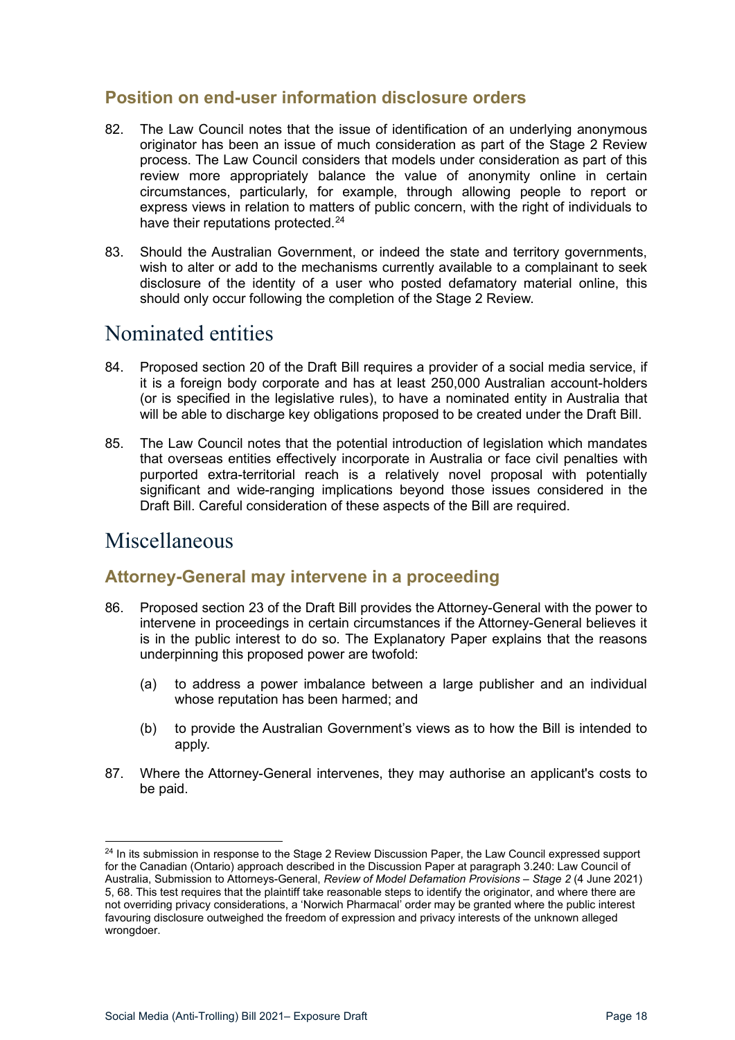# <span id="page-17-0"></span>**Position on end-user information disclosure orders**

- 82. The Law Council notes that the issue of identification of an underlying anonymous originator has been an issue of much consideration as part of the Stage 2 Review process. The Law Council considers that models under consideration as part of this review more appropriately balance the value of anonymity online in certain circumstances, particularly, for example, through allowing people to report or express views in relation to matters of public concern, with the right of individuals to have their reputations protected.<sup>[24](#page-17-4)</sup>
- 83. Should the Australian Government, or indeed the state and territory governments, wish to alter or add to the mechanisms currently available to a complainant to seek disclosure of the identity of a user who posted defamatory material online, this should only occur following the completion of the Stage 2 Review.

# <span id="page-17-1"></span>Nominated entities

- 84. Proposed section 20 of the Draft Bill requires a provider of a social media service, if it is a foreign body corporate and has at least 250,000 Australian account-holders (or is specified in the legislative rules), to have a nominated entity in Australia that will be able to discharge key obligations proposed to be created under the Draft Bill.
- 85. The Law Council notes that the potential introduction of legislation which mandates that overseas entities effectively incorporate in Australia or face civil penalties with purported extra-territorial reach is a relatively novel proposal with potentially significant and wide-ranging implications beyond those issues considered in the Draft Bill. Careful consideration of these aspects of the Bill are required.

# <span id="page-17-2"></span>Miscellaneous

# <span id="page-17-3"></span>**Attorney-General may intervene in a proceeding**

- 86. Proposed section 23 of the Draft Bill provides the Attorney-General with the power to intervene in proceedings in certain circumstances if the Attorney-General believes it is in the public interest to do so. The Explanatory Paper explains that the reasons underpinning this proposed power are twofold:
	- (a) to address a power imbalance between a large publisher and an individual whose reputation has been harmed; and
	- (b) to provide the Australian Government's views as to how the Bill is intended to apply.
- 87. Where the Attorney-General intervenes, they may authorise an applicant's costs to be paid.

<span id="page-17-4"></span><sup>&</sup>lt;sup>24</sup> In its submission in response to the Stage 2 Review Discussion Paper, the Law Council expressed support for the Canadian (Ontario) approach described in the Discussion Paper at paragraph 3.240: Law Council of Australia, Submission to Attorneys-General, *Review of Model Defamation Provisions – Stage 2* (4 June 2021) 5, 68. This test requires that the plaintiff take reasonable steps to identify the originator, and where there are not overriding privacy considerations, a 'Norwich Pharmacal' order may be granted where the public interest favouring disclosure outweighed the freedom of expression and privacy interests of the unknown alleged wrongdoer.